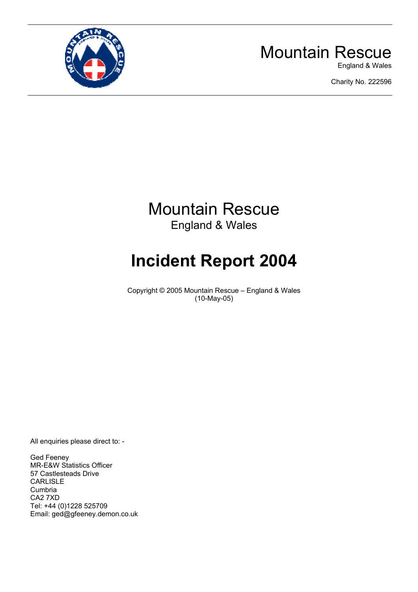

## Mountain Rescue

England & Wales

Charity No. 222596

## Mountain Rescue England & Wales

# **Incident Report 2004**

Copyright © 2005 Mountain Rescue – England & Wales (10-May-05)

All enquiries please direct to: -

Ged Feeney MR-E&W Statistics Officer 57 Castlesteads Drive CARLISLE Cumbria CA2 7XD Tel: +44 (0)1228 525709 Email: ged@gfeeney.demon.co.uk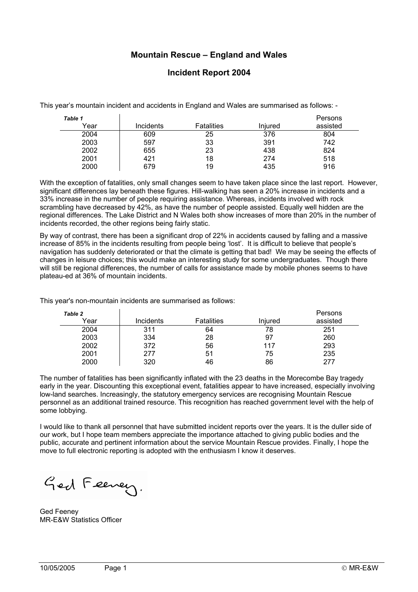#### **Mountain Rescue – England and Wales**

#### **Incident Report 2004**

This year's mountain incident and accidents in England and Wales are summarised as follows: -

| Table 1 |           |                   |         | Persons  |
|---------|-----------|-------------------|---------|----------|
| Year    | Incidents | <b>Fatalities</b> | Injured | assisted |
| 2004    | 609       | 25                | 376     | 804      |
| 2003    | 597       | 33                | 391     | 742      |
| 2002    | 655       | 23                | 438     | 824      |
| 2001    | 421       | 18                | 274     | 518      |
| 2000    | 679       | 19                | 435     | 916      |

With the exception of fatalities, only small changes seem to have taken place since the last report. However, significant differences lay beneath these figures. Hill-walking has seen a 20% increase in incidents and a 33% increase in the number of people requiring assistance. Whereas, incidents involved with rock scrambling have decreased by 42%, as have the number of people assisted. Equally well hidden are the regional differences. The Lake District and N Wales both show increases of more than 20% in the number of incidents recorded, the other regions being fairly static.

By way of contrast, there has been a significant drop of 22% in accidents caused by falling and a massive increase of 85% in the incidents resulting from people being 'lost'. It is difficult to believe that people's navigation has suddenly deteriorated or that the climate is getting that bad! We may be seeing the effects of changes in leisure choices; this would make an interesting study for some undergraduates. Though there will still be regional differences, the number of calls for assistance made by mobile phones seems to have plateau-ed at 36% of mountain incidents.

This year's non-mountain incidents are summarised as follows:

| <b>Table 2</b> |                  |                   |         | Persons  |
|----------------|------------------|-------------------|---------|----------|
| Year           | <b>Incidents</b> | <b>Fatalities</b> | Iniured | assisted |
| 2004           | 311              | 64                | 78      | 251      |
| 2003           | 334              | 28                | 97      | 260      |
| 2002           | 372              | 56                | 117     | 293      |
| 2001           | 277              | 51                | 75      | 235      |
| 2000           | 320              | 46                | 86      | 277      |

The number of fatalities has been significantly inflated with the 23 deaths in the Morecombe Bay tragedy early in the year. Discounting this exceptional event, fatalities appear to have increased, especially involving low-land searches. Increasingly, the statutory emergency services are recognising Mountain Rescue personnel as an additional trained resource. This recognition has reached government level with the help of some lobbying.

I would like to thank all personnel that have submitted incident reports over the years. It is the duller side of our work, but I hope team members appreciate the importance attached to giving public bodies and the public, accurate and pertinent information about the service Mountain Rescue provides. Finally, I hope the move to full electronic reporting is adopted with the enthusiasm I know it deserves.

Ged Feeney.

Ged Feeney MR-E&W Statistics Officer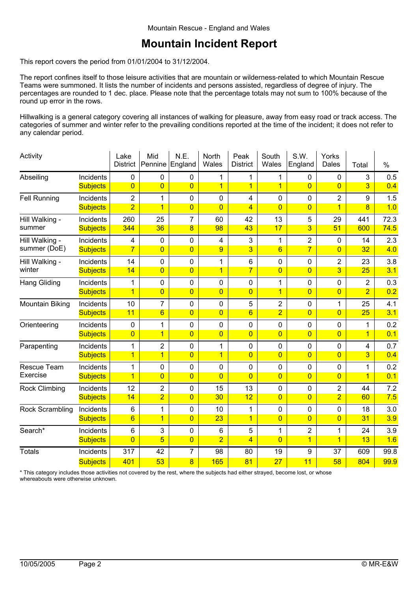#### **Mountain Incident Report**

This report covers the period from 01/01/2004 to 31/12/2004.

The report confines itself to those leisure activities that are mountain or wilderness-related to which Mountain Rescue Teams were summoned. It lists the number of incidents and persons assisted, regardless of degree of injury. The percentages are rounded to 1 dec. place. Please note that the percentage totals may not sum to 100% because of the round up error in the rows.

Hillwalking is a general category covering all instances of walking for pleasure, away from easy road or track access. The categories of summer and winter refer to the prevailing conditions reported at the time of the incident; it does not refer to any calendar period.

| Activity             |                 | Lake<br><b>District</b> | Mid<br>Pennine  | N.E.<br>England | North<br>Wales | Peak<br><b>District</b> | South<br>Wales  | S.W.<br>England | Yorks<br>Dales | Total          | $\%$ |
|----------------------|-----------------|-------------------------|-----------------|-----------------|----------------|-------------------------|-----------------|-----------------|----------------|----------------|------|
| Abseiling            | Incidents       | 0                       | 0               | $\pmb{0}$       | 1              | 1                       | 1               | $\mathbf 0$     | 0              | 3              | 0.5  |
|                      | <b>Subjects</b> | $\overline{0}$          | $\overline{0}$  | $\overline{0}$  | $\overline{1}$ | $\overline{1}$          | $\overline{1}$  | $\overline{0}$  | $\overline{0}$ | 3 <sup>2</sup> | 0.4  |
| <b>Fell Running</b>  | Incidents       | $\overline{2}$          | $\mathbf 1$     | $\pmb{0}$       | $\pmb{0}$      | 4                       | $\pmb{0}$       | $\mathbf 0$     | $\overline{2}$ | 9              | 1.5  |
|                      | <b>Subjects</b> | $\overline{2}$          | $\overline{1}$  | $\overline{0}$  | $\overline{0}$ | $\overline{4}$          | $\overline{0}$  | $\overline{0}$  | $\overline{1}$ | 8              | 1.0  |
| Hill Walking -       | Incidents       | 260                     | 25              | $\overline{7}$  | 60             | 42                      | 13              | 5               | 29             | 441            | 72.3 |
| summer               | <b>Subjects</b> | 344                     | 36              | $\overline{8}$  | 98             | 43                      | 17              | 3               | 51             | 600            | 74.5 |
| Hill Walking -       | Incidents       | 4                       | 0               | $\pmb{0}$       | $\overline{4}$ | 3                       | 1               | $\overline{2}$  | 0              | 14             | 2.3  |
| summer (DoE)         | <b>Subjects</b> | $\overline{7}$          | $\overline{0}$  | $\overline{0}$  | 9              | $\overline{3}$          | $6\overline{6}$ | $\overline{7}$  | $\overline{0}$ | 32             | 4.0  |
| Hill Walking -       | Incidents       | 14                      | 0               | $\mathbf 0$     | 1              | 6                       | 0               | $\mathbf 0$     | $\overline{2}$ | 23             | 3.8  |
| winter               | <b>Subjects</b> | 14                      | $\overline{0}$  | $\overline{0}$  | $\overline{1}$ | $\overline{7}$          | $\overline{0}$  | $\overline{0}$  | $\overline{3}$ | 25             | 3.1  |
| <b>Hang Gliding</b>  | Incidents       | 1                       | 0               | $\mathbf 0$     | $\mathbf 0$    | 0                       | 1               | $\overline{0}$  | $\mathbf 0$    | $\overline{2}$ | 0.3  |
|                      | <b>Subjects</b> | $\overline{1}$          | $\overline{0}$  | $\overline{0}$  | $\overline{0}$ | $\overline{0}$          | $\overline{1}$  | $\overline{0}$  | $\overline{0}$ | $\overline{2}$ | 0.2  |
| Mountain Biking      | Incidents       | 10                      | $\overline{7}$  | $\mathbf 0$     | $\mathbf 0$    | 5                       | $\overline{2}$  | $\overline{0}$  | 1              | 25             | 4.1  |
|                      | <b>Subjects</b> | 11                      | $6\overline{6}$ | $\overline{0}$  | $\overline{0}$ | $6\overline{6}$         | $\overline{2}$  | $\overline{0}$  | 0              | 25             | 3.1  |
| Orienteering         | Incidents       | $\pmb{0}$               | 1               | $\pmb{0}$       | $\pmb{0}$      | 0                       | 0               | $\mathbf 0$     | 0              | 1              | 0.2  |
|                      | <b>Subjects</b> | $\overline{0}$          | $\overline{1}$  | $\overline{0}$  | $\overline{0}$ | $\overline{0}$          | $\overline{0}$  | $\overline{0}$  | $\overline{0}$ | $\mathbf{1}$   | 0.1  |
| Parapenting          | Incidents       | 1                       | $\overline{c}$  | $\pmb{0}$       | 1              | 0                       | 0               | $\mathbf 0$     | 0              | 4              | 0.7  |
|                      | <b>Subjects</b> | $\overline{1}$          | $\overline{1}$  | $\overline{0}$  | $\overline{1}$ | $\overline{0}$          | $\overline{0}$  | $\overline{0}$  | $\overline{0}$ | $\overline{3}$ | 0.4  |
| Rescue Team          | Incidents       | 1                       | 0               | $\pmb{0}$       | $\mathbf 0$    | 0                       | 0               | $\mathbf 0$     | 0              | 1              | 0.2  |
| Exercise             | <b>Subjects</b> | $\overline{1}$          | $\overline{0}$  | $\overline{0}$  | $\overline{0}$ | $\overline{0}$          | $\overline{0}$  | $\overline{0}$  | $\overline{0}$ | $\mathbf{1}$   | 0.1  |
| <b>Rock Climbing</b> | Incidents       | 12                      | $\overline{c}$  | $\pmb{0}$       | 15             | 13                      | 0               | $\mathbf 0$     | $\overline{2}$ | 44             | 7.2  |
|                      | <b>Subjects</b> | 14                      | $\overline{2}$  | $\overline{0}$  | 30             | 12                      | $\overline{0}$  | $\overline{0}$  | $\overline{2}$ | 60             | 7.5  |
| Rock Scrambling      | Incidents       | $6\phantom{1}$          | $\mathbf{1}$    | $\pmb{0}$       | 10             | $\mathbf{1}$            | 0               | $\mathbf 0$     | 0              | 18             | 3.0  |
|                      | <b>Subjects</b> | $6\phantom{1}6$         | $\overline{1}$  | $\overline{0}$  | 23             | $\overline{1}$          | $\overline{0}$  | $\overline{0}$  | $\overline{0}$ | 31             | 3.9  |
| Search*              | Incidents       | $6\phantom{1}$          | 3               | $\pmb{0}$       | 6              | 5                       | 1               | $\overline{2}$  | 1              | 24             | 3.9  |
|                      | <b>Subjects</b> | $\overline{0}$          | $\overline{5}$  | $\overline{0}$  | $\overline{2}$ | $\overline{4}$          | $\overline{0}$  | $\overline{1}$  | $\overline{1}$ | 13             | 1.6  |
| <b>Totals</b>        | Incidents       | 317                     | 42              | 7               | 98             | 80                      | 19              | 9               | 37             | 609            | 99.8 |
|                      | <b>Subjects</b> | 401                     | 53              | 8               | 165            | 81                      | 27              | 11              | 58             | 804            | 99.9 |

\* This category includes those activities not covered by the rest, where the subjects had either strayed, become lost, or whose whereabouts were otherwise unknown.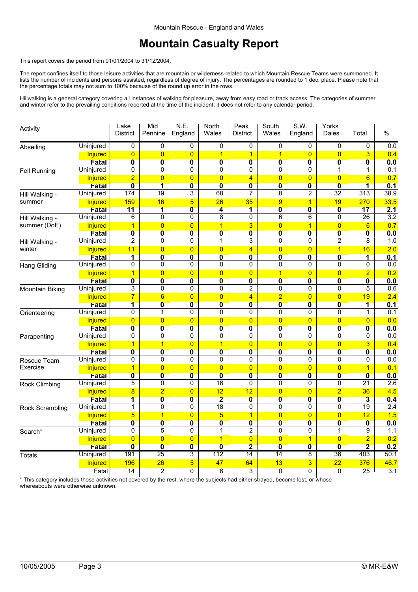#### **Mountain Casualty Report**

This report covers the period from 01/01/2004 to 31/12/2004.

The report confines itself to those leisure activities that are mountain or wilderness-related to which Mountain Rescue Teams were summoned. It lists the number of incidents and persons assisted, regardless of degree of injury. The percentages are rounded to 1 dec. place. Please note that the percentage totals may not sum to 100% because of the round up error in the rows.

Hillwalking is a general category covering all instances of walking for pleasure, away from easy road or track access. The categories of summer and winter refer to the prevailing conditions reported at the time of the incident; it does not refer to any calendar period.

| Activity                |                         | Lake<br><b>District</b>                 | Mid<br>Pennine                            | N.E.<br>England                           | <b>North</b><br>Wales                  | Peak<br><b>District</b>      | South<br>Wales                      | S.W.<br>England                           | Yorks<br>Dales                            | Total                                   | %                       |
|-------------------------|-------------------------|-----------------------------------------|-------------------------------------------|-------------------------------------------|----------------------------------------|------------------------------|-------------------------------------|-------------------------------------------|-------------------------------------------|-----------------------------------------|-------------------------|
| Abseiling               | Uninjured               | 0                                       | 0                                         | 0                                         | $\overline{0}$                         | 0                            | $\mathbf 0$                         | 0                                         | 0                                         | 0                                       | 0.0                     |
|                         | Injured                 | $\overline{0}$                          | $\overline{0}$                            | $\overline{0}$                            | $\overline{1}$                         | $\overline{1}$               | $\overline{1}$                      | $\overline{0}$                            | $\overline{0}$                            | 3                                       | 0.4                     |
|                         | Fatal                   | $\overline{\mathbf{0}}$                 | $\overline{\mathbf{0}}$                   | $\overline{\mathbf{0}}$                   | $\overline{\mathbf{0}}$                | $\overline{\mathbf{0}}$      | $\overline{\mathbf{0}}$             | $\overline{\mathbf{0}}$                   | $\overline{\mathbf{0}}$                   | $\overline{\mathbf{0}}$                 | 0.0                     |
| <b>Fell Running</b>     | Uninjured               | 0                                       | 0                                         | 0                                         | 0                                      | 0                            | $\mathbf 0$                         | 0                                         | 1                                         | $\mathbf{1}$                            | 0.1                     |
|                         | Injured                 | $\overline{2}$                          | $\overline{0}$                            | $\overline{0}$                            | $\overline{0}$                         | $\overline{4}$               | $\overline{0}$                      | $\overline{0}$                            | $\overline{0}$                            | $6\overline{6}$                         | 0.7                     |
|                         | Fatal                   | $\overline{\mathbf{0}}$                 | $\overline{\mathbf{1}}$                   | $\overline{\mathbf{0}}$                   | $\overline{\mathbf{0}}$                | $\overline{\mathbf{0}}$      | $\overline{\mathbf{0}}$             | $\mathbf{0}$                              | $\overline{\mathbf{0}}$                   | $\overline{\mathbf{1}}$                 | 0.1                     |
| Hill Walking -          | Uninjured               | 174                                     | $\overline{19}$                           | 3                                         | 68                                     | $\overline{7}$               | 8                                   | 2                                         | $\overline{32}$                           | $\overline{313}$                        | 38.9                    |
| summer                  | <b>Injured</b>          | 159                                     | 16                                        | 5                                         | 26                                     | 35                           | 9                                   | $\overline{1}$                            | 19                                        | 270                                     | 33.5                    |
|                         | Fatal                   | 11                                      | $\overline{\mathbf{1}}$                   | $\overline{\mathbf{0}}$                   | 4                                      | $\overline{\mathbf{1}}$      | $\overline{\mathbf{0}}$             | $\overline{\mathbf{0}}$                   | $\overline{\mathbf{0}}$                   | 17                                      | 2.1                     |
| Hill Walking -          | Uninjured               | 6                                       | 0                                         | 0                                         | 8                                      | 0                            | 6                                   | 6                                         | 0                                         | 26                                      | 3.2                     |
| summer (DoE)            | Injured                 | $\overline{1}$                          | $\overline{0}$                            | $\overline{0}$                            | $\overline{1}$                         | 3                            | $\overline{0}$                      | $\overline{1}$                            | $\overline{0}$                            | 6                                       | 0.7                     |
|                         | Fatal                   | $\overline{\mathbf{0}}$                 | $\overline{\mathbf{0}}$                   | $\overline{\mathbf{0}}$                   | $\overline{\mathbf{0}}$                | $\overline{\mathbf{0}}$      | $\overline{\mathbf{0}}$             | $\overline{\mathbf{0}}$                   | $\overline{\textbf{0}}$                   | $\overline{\mathbf{0}}$                 | 0.0                     |
| Hill Walking -          | Uninjured               | 2                                       | 0                                         | 0                                         | 1                                      | 3                            | 0                                   | 0                                         | 2                                         | 8                                       | 1.0                     |
| winter                  | Injured                 | 11                                      | $\overline{0}$                            | $\overline{0}$                            | $\overline{0}$                         | $\overline{4}$               | $\overline{0}$                      | $\overline{0}$                            | $\overline{1}$                            | 16                                      | 2.0                     |
|                         | Fatal                   | $\overline{\mathbf{1}}$                 | $\overline{\mathbf{0}}$                   | $\overline{\mathbf{0}}$                   | $\overline{\mathbf{0}}$                | $\overline{\mathbf{0}}$      | $\overline{\mathbf{0}}$             | $\overline{\mathbf{0}}$                   | $\overline{\mathbf{0}}$                   | $\overline{\mathbf{1}}$                 | 0.1                     |
| <b>Hang Gliding</b>     | Uninjured               | 0                                       | 0                                         | 0                                         | 0                                      | 0                            | $\mathbf 0$                         | 0                                         | 0                                         | 0                                       | $\overline{0.0}$        |
|                         | Injured                 | $\overline{1}$                          | $\overline{0}$                            | $\overline{0}$                            | $\overline{0}$                         | $\overline{0}$               | 1                                   | $\overline{0}$                            | $\overline{0}$                            | $\overline{2}$                          | 0.2                     |
|                         | Fatal                   | $\overline{\mathbf{0}}$                 | $\overline{\mathbf{0}}$                   | $\overline{\mathbf{0}}$                   | $\overline{\mathbf{0}}$                | $\overline{\mathbf{0}}$      | $\overline{\mathbf{0}}$             | $\overline{\mathbf{0}}$                   | $\overline{\mathbf{0}}$                   | $\overline{\mathbf{0}}$                 | 0.0                     |
| <b>Mountain Biking</b>  | Uninjured               | 3                                       | 0                                         | 0                                         | 0                                      | $\overline{2}$               | 0                                   | 0                                         | 0                                         | 5                                       | 0.6                     |
|                         | Injured                 | $\overline{7}$                          | $6\phantom{1}$                            | $\overline{0}$                            | $\overline{0}$                         | 4                            | $\overline{2}$                      | $\overline{0}$                            | $\overline{0}$                            | 19                                      | 2.4                     |
|                         | Fatal                   | $\overline{\mathbf{1}}$                 | $\overline{\mathbf{0}}$                   | $\overline{\mathbf{0}}$                   | $\overline{\mathbf{0}}$                | $\overline{\mathbf{0}}$      | $\overline{\mathbf{0}}$             | $\overline{\mathbf{0}}$                   | $\overline{\textbf{0}}$                   | 1                                       | 0.1                     |
| Orienteering            | Uninjured               | 0                                       | 1                                         | 0                                         | 0                                      | 0                            | $\Omega$                            | 0                                         | 0                                         | 1                                       | 0.1                     |
|                         | Injured                 | $\overline{0}$                          | $\overline{0}$                            | $\overline{0}$                            | $\overline{0}$                         | $\overline{0}$               | $\overline{0}$                      | $\overline{0}$                            | $\overline{0}$                            | $\overline{0}$                          | 0.0                     |
|                         | Fatal                   | $\overline{\mathbf{0}}$                 | $\overline{\mathbf{0}}$                   | $\overline{\mathbf{0}}$<br>0              | $\overline{\mathbf{0}}$<br>0           | $\overline{\mathbf{0}}$<br>0 | $\overline{\mathbf{0}}$<br>$\Omega$ | $\overline{\mathbf{0}}$                   | $\overline{\mathbf{0}}$<br>0              | $\overline{\mathbf{0}}$                 | 0.0<br>$\overline{0.0}$ |
| Parapenting             | Uninjured               | 0                                       | 0                                         |                                           |                                        |                              |                                     | 0                                         |                                           | 0                                       |                         |
|                         | <b>Injured</b>          | $\overline{1}$                          | $\overline{1}$                            | $\overline{0}$                            | $\mathbf{1}$                           | $\overline{0}$               | $\overline{0}$                      | $\overline{0}$<br>$\overline{\mathbf{0}}$ | $\overline{0}$<br>$\overline{\mathbf{0}}$ | 3                                       | 0.4                     |
|                         | Fatal<br>Uninjured      | $\overline{\mathbf{0}}$<br>0            | $\overline{\mathbf{0}}$<br>0              | $\overline{\mathbf{0}}$<br>0              | $\overline{\mathbf{0}}$<br>$\mathbf 0$ | $\overline{\textbf{0}}$<br>0 | $\overline{\mathbf{0}}$<br>$\Omega$ | 0                                         | 0                                         | $\overline{\textbf{0}}$<br>$\mathbf{0}$ | 0.0<br>$\overline{0.0}$ |
| Rescue Team<br>Exercise |                         |                                         |                                           |                                           | $\overline{0}$                         | $\overline{0}$               | $\overline{0}$                      | $\overline{0}$                            |                                           | $\overline{1}$                          | 0.1                     |
|                         | <b>Injured</b><br>Fatal | $\mathbf{1}$<br>$\overline{\mathbf{0}}$ | $\overline{0}$<br>$\overline{\mathbf{0}}$ | $\overline{0}$<br>$\overline{\mathbf{0}}$ | $\overline{\mathbf{0}}$                | $\overline{\mathbf{0}}$      | $\overline{\mathbf{0}}$             | $\overline{\mathbf{0}}$                   | $\overline{0}$<br>$\overline{\textbf{0}}$ | $\overline{\mathbf{0}}$                 | 0.0                     |
| Rock Climbing           | Uninjured               | 5                                       | 0                                         | 0                                         | 16                                     | 0                            | $\mathbf 0$                         | 0                                         | 0                                         | $\overline{21}$                         | 2.6                     |
|                         | <b>Injured</b>          | $\overline{\mathbf{8}}$                 | $\overline{2}$                            | $\overline{0}$                            | 12                                     | 12                           | $\overline{0}$                      | $\overline{0}$                            | $\overline{2}$                            | 36                                      | 4.5                     |
|                         | Fatal                   | 1                                       | $\overline{\mathbf{0}}$                   | $\overline{\mathbf{0}}$                   | $\overline{\mathbf{2}}$                | $\overline{\mathbf{0}}$      | $\overline{\mathbf{0}}$             | $\overline{\mathbf{0}}$                   | $\overline{\mathbf{0}}$                   | $\overline{\mathbf{3}}$                 | 0.4                     |
| Rock Scrambling         | Uninjured               | $\mathbf 1$                             | 0                                         | 0                                         | 18                                     | 0                            | 0                                   | 0                                         | 0                                         | 19                                      | $\overline{2.4}$        |
|                         | <b>Injured</b>          | $\overline{5}$                          | $\overline{1}$                            | $\overline{0}$                            | $5\overline{}$                         | $\overline{1}$               | $\overline{0}$                      | $\overline{0}$                            | $\overline{0}$                            | 12                                      | 1.5                     |
|                         | Fatal                   | $\overline{\mathbf{0}}$                 | $\overline{\mathbf{0}}$                   | $\overline{\mathbf{0}}$                   | $\overline{\mathbf{0}}$                | $\overline{\mathbf{0}}$      | $\overline{\mathbf{0}}$             | $\overline{\mathbf{0}}$                   | $\overline{\textbf{0}}$                   | $\overline{\mathbf{0}}$                 | 0.0                     |
| Search*                 | Uninjured               | $\pmb{0}$                               | $\overline{5}$                            | 0                                         | 1                                      | $\overline{2}$               | $\mathbf 0$                         | 0                                         | $\mathbf{1}$                              | 9                                       | 1.1                     |
|                         | Injured                 | $\overline{0}$                          | $\overline{0}$                            | $\overline{0}$                            | $\mathbf{1}$                           | $\overline{0}$               | $\overline{0}$                      | 1                                         | $\overline{0}$                            | $\overline{2}$                          | 0.2                     |
|                         | Fatal                   | $\overline{\mathbf{0}}$                 | $\overline{\mathbf{0}}$                   | $\overline{\mathbf{0}}$                   | $\overline{\mathbf{0}}$                | $\overline{\mathbf{2}}$      | $\overline{\mathbf{0}}$             | $\overline{\mathbf{0}}$                   | $\overline{\mathbf{0}}$                   | $\overline{\mathbf{2}}$                 | 0.2                     |
| <b>Totals</b>           | <b>Uninjured</b>        | 191                                     | 25                                        | 3                                         | 112                                    | 14                           | 14                                  | 8                                         | 36                                        | 403                                     | 50.1                    |
|                         | <b>Injured</b>          | 196                                     | 26                                        | $\overline{5}$                            | 47                                     | 64                           | 13                                  | 3                                         | 22                                        | 376                                     | 46.7                    |
|                         | Fatal                   | 14                                      | $\overline{2}$                            | 0                                         | 6                                      | 3                            | $\mathbf{0}$                        | $\Omega$                                  | 0                                         | 25                                      | 3.1                     |

\* This category includes those activities not covered by the rest, where the subjects had either strayed, become lost, or whose whereabouts were otherwise unknown.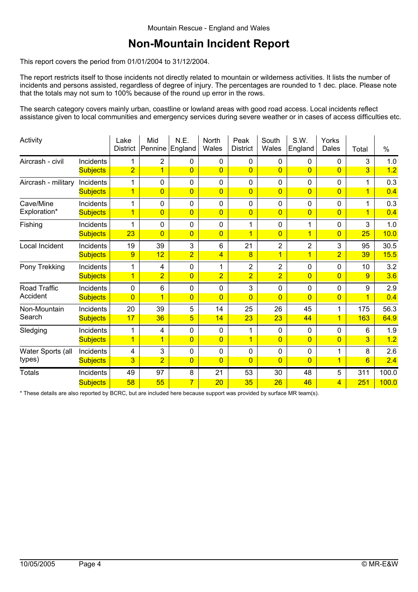#### **Non-Mountain Incident Report**

This report covers the period from 01/01/2004 to 31/12/2004.

The report restricts itself to those incidents not directly related to mountain or wilderness activities. It lists the number of incidents and persons assisted, regardless of degree of injury. The percentages are rounded to 1 dec. place. Please note that the totals may not sum to 100% because of the round up error in the rows.

The search category covers mainly urban, coastline or lowland areas with good road access. Local incidents reflect assistance given to local communities and emergency services during severe weather or in cases of access difficulties etc.

| Activity            |                 | Lake<br><b>District</b> | Mid<br>Pennine | N.E.<br>England | North<br>Wales | Peak<br><b>District</b> | South<br>Wales | S.W.<br>England | Yorks<br>Dales | Total                   | $\%$  |
|---------------------|-----------------|-------------------------|----------------|-----------------|----------------|-------------------------|----------------|-----------------|----------------|-------------------------|-------|
| Aircrash - civil    | Incidents       | 1                       | 2              | 0               | $\mathbf 0$    | 0                       | $\mathbf 0$    | 0               | 0              | 3                       | 1.0   |
|                     | <b>Subjects</b> | $\overline{2}$          | $\overline{1}$ | $\overline{0}$  | $\overline{0}$ | $\Omega$                | $\Omega$       | $\overline{0}$  | $\overline{0}$ | 3                       | 1.2   |
| Aircrash - military | Incidents       | 1                       | $\mathbf 0$    | 0               | $\mathbf 0$    | 0                       | $\mathbf 0$    | 0               | 0              | 1                       | 0.3   |
|                     | <b>Subjects</b> | $\overline{1}$          | $\overline{0}$ | $\overline{0}$  | $\overline{0}$ | $\overline{0}$          | $\overline{0}$ | $\overline{0}$  | $\overline{0}$ | $\overline{1}$          | 0.4   |
| Cave/Mine           | Incidents       | 1                       | $\mathbf 0$    | 0               | $\mathbf 0$    | 0                       | 0              | $\mathbf 0$     | 0              | 1                       | 0.3   |
| Exploration*        | <b>Subjects</b> | $\overline{1}$          | $\overline{0}$ | $\overline{0}$  | $\overline{0}$ | $\overline{0}$          | $\Omega$       | $\overline{0}$  | $\Omega$       | $\overline{1}$          | 0.4   |
| Fishing             | Incidents       | 1                       | $\mathbf 0$    | 0               | $\mathbf 0$    | 1                       | $\mathbf 0$    | 1               | 0              | 3                       | 1.0   |
|                     | <b>Subjects</b> | 23                      | $\overline{0}$ | $\overline{0}$  | $\overline{0}$ | 1                       | $\overline{0}$ | $\overline{1}$  | $\overline{0}$ | 25                      | 10.0  |
| Local Incident      | Incidents       | 19                      | 39             | 3               | $6\phantom{1}$ | 21                      | $\overline{c}$ | $\overline{2}$  | 3              | 95                      | 30.5  |
|                     | <b>Subjects</b> | 9                       | 12             | $\overline{2}$  | $\overline{4}$ | 8                       | $\mathbf 1$    | $\mathbf 1$     | $\overline{2}$ | 39                      | 15.5  |
| Pony Trekking       | Incidents       | 1                       | 4              | 0               | 1              | $\overline{2}$          | $\overline{2}$ | 0               | 0              | 10                      | 3.2   |
|                     | <b>Subjects</b> | $\overline{1}$          | $\overline{2}$ | $\overline{0}$  | $\overline{2}$ | $\overline{2}$          | $\overline{2}$ | $\overline{0}$  | $\overline{0}$ | 9                       | 3.6   |
| Road Traffic        | Incidents       | $\mathbf 0$             | 6              | 0               | $\mathbf 0$    | 3                       | $\mathbf 0$    | 0               | 0              | 9                       | 2.9   |
| Accident            | <b>Subjects</b> | $\overline{0}$          | $\overline{1}$ | $\overline{0}$  | $\Omega$       | $\Omega$                | $\Omega$       | $\overline{0}$  | $\Omega$       | $\overline{\mathbf{1}}$ | 0.4   |
| Non-Mountain        | Incidents       | 20                      | 39             | 5               | 14             | 25                      | 26             | 45              | 1              | 175                     | 56.3  |
| Search              | <b>Subjects</b> | 17                      | 36             | 5               | 14             | 23                      | 23             | 44              | $\overline{1}$ | 163                     | 64.9  |
| Sledging            | Incidents       | 1                       | 4              | 0               | $\mathbf 0$    | 1                       | 0              | $\mathbf 0$     | 0              | 6                       | 1.9   |
|                     | <b>Subjects</b> | $\overline{1}$          | $\overline{1}$ | $\overline{0}$  | $\overline{0}$ | $\overline{1}$          | $\overline{0}$ | $\overline{0}$  | $\overline{0}$ | 3                       | 1.2   |
| Water Sports (all   | Incidents       | 4                       | 3              | 0               | $\mathbf 0$    | $\pmb{0}$               | $\pmb{0}$      | $\mathbf 0$     | 1              | 8                       | 2.6   |
| types)              | <b>Subjects</b> | 3                       | $\overline{2}$ | $\overline{0}$  | $\overline{0}$ | $\overline{0}$          | $\overline{0}$ | $\overline{0}$  | $\overline{1}$ | $6\overline{6}$         | 2.4   |
| <b>Totals</b>       | Incidents       | 49                      | 97             | 8               | 21             | 53                      | 30             | 48              | 5              | 311                     | 100.0 |
|                     | <b>Subjects</b> | 58                      | 55             | $\overline{7}$  | 20             | 35                      | 26             | 46              | 4              | 251                     | 100.0 |

\* These details are also reported by BCRC, but are included here because support was provided by surface MR team(s).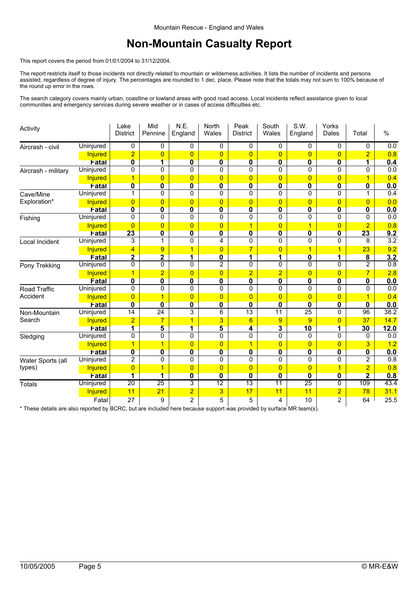### **Non-Mountain Casualty Report**

This report covers the period from 01/01/2004 to 31/12/2004.

The report restricts itself to those incidents not directly related to mountain or wilderness activities. It lists the number of incidents and persons assisted, regardless of degree of injury. The percentages are rounded to 1 dec. place. Please note that the totals may not sum to 100% because of the round up error in the rows.

The search category covers mainly urban, coastline or lowland areas with good road access. Local incidents reflect assistance given to local communities and emergency services during severe weather or in cases of access difficulties etc.

| Activity            |                  | Lake<br><b>District</b> | Mid<br>Pennine          | N.E.<br>England         | North<br>Wales          | Peak<br><b>District</b> | South<br>Wales          | S.W.<br>England         | Yorks<br>Dales          | Total                   | $\%$             |
|---------------------|------------------|-------------------------|-------------------------|-------------------------|-------------------------|-------------------------|-------------------------|-------------------------|-------------------------|-------------------------|------------------|
| Aircrash - civil    | Uninjured        | 0                       | 0                       | 0                       | 0                       | 0                       | 0                       | 0                       | 0                       | 0                       | 0.0              |
|                     | <b>Injured</b>   | $\overline{2}$          | $\overline{0}$          | $\overline{0}$          | $\overline{0}$          | $\overline{0}$          | $\overline{0}$          | $\overline{0}$          | $\overline{0}$          | $\overline{2}$          | 0.8              |
|                     | Fatal            | $\overline{\mathbf{0}}$ | $\mathbf{1}$            | $\overline{\mathbf{0}}$ | $\overline{\mathbf{0}}$ | $\mathbf{0}$            | $\mathbf{0}$            | $\overline{\mathbf{0}}$ | 0                       | 1                       | 0.4              |
| Aircrash - military | Uninjured        | 0                       | 0                       | 0                       | 0                       | 0                       | $\mathbf 0$             | 0                       | 0                       | 0                       | $\overline{0.0}$ |
|                     | Injured          | $\overline{1}$          | $\overline{0}$          | $\overline{0}$          | $\overline{0}$          | $\overline{0}$          | $\overline{0}$          | $\overline{0}$          | $\overline{0}$          | $\overline{1}$          | 0.4              |
|                     | Fatal            | $\overline{\mathbf{0}}$ | $\overline{\mathbf{0}}$ | $\overline{\mathbf{0}}$ | 0                       | $\overline{\mathbf{0}}$ | $\overline{\mathbf{0}}$ | $\overline{\mathbf{0}}$ | $\overline{\mathbf{0}}$ | 0                       | 0.0              |
| Cave/Mine           | Uninjured        | 1                       | 0                       | 0                       | 0                       | $\mathbf 0$             | $\Omega$                | $\Omega$                | 0                       | 1                       | 0.4              |
| Exploration*        | <b>Injured</b>   | $\overline{0}$          | $\overline{0}$          | $\overline{0}$          | $\overline{0}$          | $\overline{0}$          | $\overline{0}$          | $\overline{0}$          | $\overline{0}$          | $\overline{0}$          | 0.0              |
|                     | Fatal            | $\overline{\mathbf{0}}$ | $\overline{\mathbf{0}}$ | $\mathbf{0}$            | $\overline{\mathbf{0}}$ | $\mathbf{0}$            | $\overline{\mathbf{0}}$ | $\overline{\mathbf{0}}$ | $\overline{\mathbf{0}}$ | 0                       | 0.0              |
| Fishing             | Uninjured        | 0                       | 0                       | 0                       | 0                       | 0                       | $\mathbf{0}$            | $\Omega$                | 0                       | 0                       | 0.0              |
|                     | Injured          | $\overline{0}$          | $\overline{0}$          | $\overline{0}$          | $\overline{0}$          | 1                       | $\mathbf{0}$            |                         | $\overline{0}$          | $\overline{2}$          | 0.8              |
|                     | <b>Fatal</b>     | 23                      | $\overline{\mathbf{0}}$ | $\mathbf{0}$            | $\mathbf{0}$            | $\mathbf{0}$            | $\mathbf{0}$            | $\overline{\mathbf{0}}$ | 0                       | 23                      | 9.2              |
| Local Incident      | <b>Uninjured</b> | 3                       | 1                       | 0                       | 4                       | 0                       | $\Omega$                | $\Omega$                | $\Omega$                | 8                       | 3.2              |
|                     | <b>Injured</b>   | 4                       | 9                       | $\mathbf{1}$            | $\overline{0}$          | 7                       | $\mathbf{0}$            | 1                       | $\mathbf 1$             | 23                      | 9.2              |
|                     | Fatal            | $\overline{\mathbf{2}}$ | $\overline{\mathbf{2}}$ | $\overline{\mathbf{1}}$ | $\overline{\mathbf{0}}$ | 1                       | 1                       | $\overline{\mathbf{0}}$ | $\overline{\mathbf{1}}$ | $\overline{\mathbf{8}}$ | 3.2              |
| Pony Trekking       | Uninjured        | 0                       | 0                       | 0                       | $\overline{2}$          | 0                       | $\Omega$                | $\Omega$                | 0                       | $\overline{2}$          | 0.8              |
|                     | Injured          | $\overline{1}$          | $\overline{2}$          | $\overline{0}$          | $\overline{0}$          | $\overline{2}$          | $\overline{2}$          | $\overline{0}$          | $\overline{0}$          | $\overline{7}$          | 2.8              |
|                     | Fatal            | $\overline{\mathbf{0}}$ | $\overline{\mathbf{0}}$ | $\overline{\mathbf{0}}$ | 0                       | $\overline{\mathbf{0}}$ | $\overline{\mathbf{0}}$ | $\overline{\mathbf{0}}$ | $\overline{\mathbf{0}}$ | 0                       | 0.0              |
| Road Traffic        | Uninjured        | 0                       | 0                       | 0                       | 0                       | $\Omega$                | $\mathbf{0}$            | $\Omega$                | 0                       | $\Omega$                | $\overline{0.0}$ |
| Accident            | <b>Injured</b>   | $\overline{0}$          | $\mathbf{1}$            | $\overline{0}$          | $\overline{0}$          | $\overline{0}$          | $\overline{0}$          | $\overline{0}$          | $\overline{0}$          |                         | 0.4              |
|                     | Fatal            | $\overline{\mathbf{0}}$ | $\overline{\mathbf{0}}$ | $\mathbf{0}$            | $\overline{\mathbf{0}}$ | $\mathbf{0}$            | $\overline{\mathbf{0}}$ | $\overline{\mathbf{0}}$ | 0                       | 0                       | 0.0              |
| Non-Mountain        | Uninjured        | $\overline{14}$         | $\overline{24}$         | 3                       | 6                       | $\overline{13}$         | $\overline{11}$         | $\overline{25}$         | 0                       | 96                      | 38.2             |
| Search              | <b>Injured</b>   | $\overline{2}$          | $\overline{7}$          | $\overline{1}$          | 3                       | 6                       | 9                       | 9                       | $\overline{0}$          | 37                      | 14.7             |
|                     | Fatal            | 1                       | 5                       | $\mathbf{1}$            | 5                       | 4                       | $\mathbf{3}$            | 10                      | 1                       | 30                      | 12.0             |
| Sledging            | Uninjured        | 0                       | 0                       | 0                       | 0                       | 0                       | $\mathbf 0$             | $\mathbf{0}$            | 0                       | 0                       | 0.0              |
|                     | <b>Injured</b>   | $\mathbf{1}$            | $\overline{1}$          | $\overline{0}$          | $\overline{0}$          | $\overline{1}$          | $\overline{0}$          | $\overline{0}$          | $\overline{0}$          | 3                       | 1.2              |
|                     | Fatal            | $\overline{\mathbf{0}}$ | $\overline{\mathbf{0}}$ | $\overline{\mathbf{0}}$ | $\overline{\mathbf{0}}$ | $\overline{\mathbf{0}}$ | $\overline{\mathbf{0}}$ | $\overline{\mathbf{0}}$ | $\overline{\textbf{0}}$ | $\overline{\mathbf{0}}$ | 0.0              |
| Water Sports (all   | Uninjured        | $\overline{\mathbf{c}}$ | 0                       | 0                       | 0                       | $\Omega$                | $\mathbf{0}$            | $\Omega$                | 0                       | $\overline{2}$          | 0.8              |
| types)              | Injured          | $\overline{0}$          | $\overline{1}$          | $\overline{0}$          | $\overline{0}$          | $\overline{0}$          | $\overline{0}$          | $\overline{0}$          | $\overline{1}$          | $\overline{2}$          | 0.8              |
|                     | Fatal            | $\overline{\mathbf{1}}$ | $\overline{\mathbf{1}}$ | $\overline{\mathbf{0}}$ | $\overline{\mathbf{0}}$ | $\overline{\mathbf{0}}$ | $\overline{\mathbf{0}}$ | $\overline{\mathbf{0}}$ | $\overline{\mathbf{0}}$ | $\overline{\mathbf{2}}$ | 0.8              |
| <b>Totals</b>       | <b>Uninjured</b> | $\overline{20}$         | 25                      | 3                       | $\overline{12}$         | $\overline{13}$         | $\overline{11}$         | 25                      | 0                       | 109                     | 43.4             |
|                     | <b>Injured</b>   | 11                      | 21                      | $\overline{2}$          | 3                       | 17                      | 11                      | 11                      | $\overline{2}$          | 78                      | 31.1             |
|                     | Fatal            | 27                      | 9                       | $\overline{2}$          | 5                       | 5                       | 4                       | 10                      | $\overline{2}$          | 64                      | 25.5             |

\* These details are also reported by BCRC, but are included here because support was provided by surface MR team(s).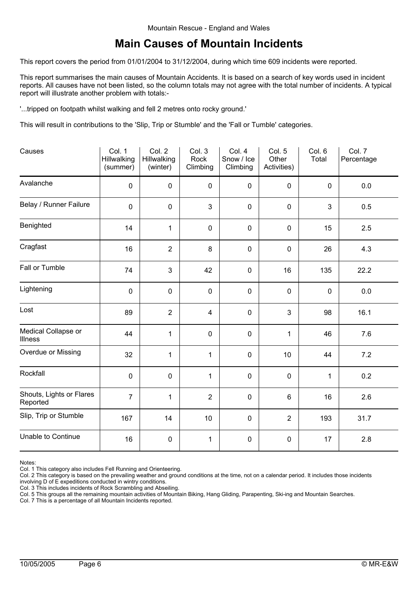#### **Main Causes of Mountain Incidents**

This report covers the period from 01/01/2004 to 31/12/2004, during which time 609 incidents were reported.

This report summarises the main causes of Mountain Accidents. It is based on a search of key words used in incident reports. All causes have not been listed, so the column totals may not agree with the total number of incidents. A typical report will illustrate another problem with totals:-

'...tripped on footpath whilst walking and fell 2 metres onto rocky ground.'

This will result in contributions to the 'Slip, Trip or Stumble' and the 'Fall or Tumble' categories.

| Causes                               | Col. 1<br>Hillwalking<br>(summer) | Col. 2<br>Hillwalking<br>(winter) | Col. 3<br>Rock<br>Climbing | Col. 4<br>Snow / Ice<br>Climbing | Col. 5<br>Other<br>Activities) | Col. 6<br>Total | Col. 7<br>Percentage |
|--------------------------------------|-----------------------------------|-----------------------------------|----------------------------|----------------------------------|--------------------------------|-----------------|----------------------|
| Avalanche                            | $\pmb{0}$                         | $\pmb{0}$                         | 0                          | $\mathbf 0$                      | $\pmb{0}$                      | $\pmb{0}$       | 0.0                  |
| Belay / Runner Failure               | $\mathbf 0$                       | $\mathbf 0$                       | 3                          | $\mathbf 0$                      | $\mathbf 0$                    | 3               | 0.5                  |
| Benighted                            | 14                                | $\mathbf{1}$                      | $\pmb{0}$                  | $\mathbf 0$                      | $\pmb{0}$                      | 15              | 2.5                  |
| Cragfast                             | 16                                | $\overline{2}$                    | $\bf 8$                    | $\mathbf 0$                      | $\mathbf 0$                    | 26              | 4.3                  |
| Fall or Tumble                       | 74                                | 3                                 | 42                         | $\mathbf 0$                      | 16                             | 135             | 22.2                 |
| Lightening                           | $\pmb{0}$                         | $\pmb{0}$                         | $\pmb{0}$                  | $\mathbf 0$                      | $\mathbf 0$                    | $\mathbf 0$     | $0.0\,$              |
| Lost                                 | 89                                | $\overline{2}$                    | $\overline{4}$             | $\mathbf 0$                      | 3                              | 98              | 16.1                 |
| Medical Collapse or<br>Illness       | 44                                | $\mathbf{1}$                      | 0                          | $\mathbf 0$                      | 1                              | 46              | 7.6                  |
| Overdue or Missing                   | 32                                | $\mathbf{1}$                      | $\mathbf{1}$               | $\mathbf 0$                      | 10                             | 44              | 7.2                  |
| Rockfall                             | $\mathbf 0$                       | $\mathbf 0$                       | 1                          | $\mathbf 0$                      | $\mathbf 0$                    | 1               | 0.2                  |
| Shouts, Lights or Flares<br>Reported | $\overline{7}$                    | $\mathbf{1}$                      | $\overline{2}$             | $\mathbf 0$                      | $6\phantom{a}$                 | 16              | 2.6                  |
| Slip, Trip or Stumble                | 167                               | 14                                | 10                         | $\mathbf 0$                      | $\overline{2}$                 | 193             | 31.7                 |
| Unable to Continue                   | 16                                | $\mathbf 0$                       | $\mathbf{1}$               | $\mathbf 0$                      | $\mathbf 0$                    | 17              | 2.8                  |

Notes:

Col. 2 This category is based on the prevailing weather and ground conditions at the time, not on a calendar period. It includes those incidents involving D of E expeditions conducted in wintry conditions.

Col. 3 This includes incidents of Rock Scrambling and Abseiling.

Col. 5 This groups all the remaining mountain activities of Mountain Biking, Hang Gliding, Parapenting, Ski-ing and Mountain Searches.

Col. 7 This is a percentage of all Mountain Incidents reported.

Col. 1 This category also includes Fell Running and Orienteering.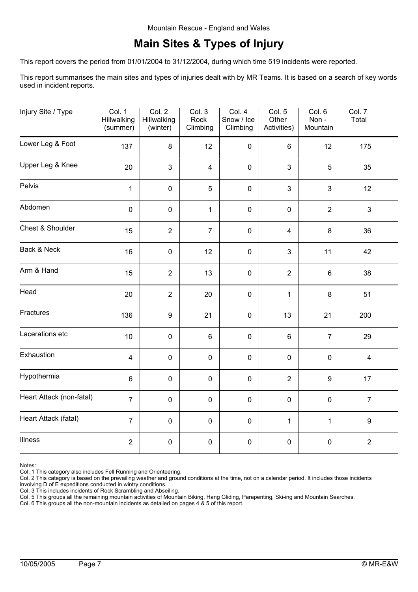### **Main Sites & Types of Injury**

This report covers the period from 01/01/2004 to 31/12/2004, during which time 519 incidents were reported.

This report summarises the main sites and types of injuries dealt with by MR Teams. It is based on a search of key words used in incident reports.

| Injury Site / Type       | Col. 1<br>Hillwalking<br>(summer) | Col. 2<br>Hillwalking<br>(winter) | Col. 3<br>Rock<br>Climbing | Col. 4<br>Snow / Ice<br>Climbing | Col. 5<br>Other<br>Activities) | Col. 6<br>Non-<br>Mountain | Col. 7<br>Total         |
|--------------------------|-----------------------------------|-----------------------------------|----------------------------|----------------------------------|--------------------------------|----------------------------|-------------------------|
| Lower Leg & Foot         | 137                               | $\bf 8$                           | 12                         | $\mathbf 0$                      | $6\phantom{1}$                 | 12                         | 175                     |
| Upper Leg & Knee         | 20                                | 3                                 | $\overline{4}$             | $\pmb{0}$                        | 3                              | 5                          | 35                      |
| Pelvis                   | $\mathbf{1}$                      | $\pmb{0}$                         | 5                          | $\mathbf 0$                      | 3                              | 3                          | 12                      |
| Abdomen                  | $\pmb{0}$                         | $\pmb{0}$                         | $\mathbf 1$                | $\pmb{0}$                        | $\pmb{0}$                      | $\overline{2}$             | $\mathfrak{S}$          |
| Chest & Shoulder         | 15                                | $\overline{2}$                    | $\overline{7}$             | $\pmb{0}$                        | $\overline{\mathbf{4}}$        | 8                          | 36                      |
| Back & Neck              | 16                                | $\mathbf 0$                       | 12                         | $\mathbf 0$                      | 3                              | 11                         | 42                      |
| Arm & Hand               | 15                                | $\overline{2}$                    | 13                         | $\pmb{0}$                        | $\overline{2}$                 | $\,6\,$                    | 38                      |
| Head                     | 20                                | $\overline{2}$                    | 20                         | $\mathbf 0$                      | $\mathbf{1}$                   | 8                          | 51                      |
| Fractures                | 136                               | $\boldsymbol{9}$                  | 21                         | $\pmb{0}$                        | 13                             | 21                         | 200                     |
| Lacerations etc          | 10                                | $\pmb{0}$                         | 6                          | $\pmb{0}$                        | $\,6\,$                        | $\overline{7}$             | 29                      |
| Exhaustion               | $\overline{4}$                    | $\pmb{0}$                         | $\pmb{0}$                  | $\pmb{0}$                        | $\pmb{0}$                      | $\pmb{0}$                  | $\overline{\mathbf{4}}$ |
| Hypothermia              | 6                                 | $\pmb{0}$                         | $\pmb{0}$                  | $\pmb{0}$                        | $\overline{2}$                 | $\boldsymbol{9}$           | 17                      |
| Heart Attack (non-fatal) | $\overline{7}$                    | $\pmb{0}$                         | $\pmb{0}$                  | $\pmb{0}$                        | $\pmb{0}$                      | $\pmb{0}$                  | $\overline{7}$          |
| Heart Attack (fatal)     | $\overline{7}$                    | $\pmb{0}$                         | $\pmb{0}$                  | $\pmb{0}$                        | $\mathbf{1}$                   | $\mathbf{1}$               | $\boldsymbol{9}$        |
| Illness                  | $\overline{2}$                    | $\pmb{0}$                         | $\pmb{0}$                  | $\pmb{0}$                        | $\pmb{0}$                      | $\pmb{0}$                  | $\overline{2}$          |

Notes:

Col. 1 This category also includes Fell Running and Orienteering.

Col. 2 This category is based on the prevailing weather and ground conditions at the time, not on a calendar period. It includes those incidents

involving D of E expeditions conducted in wintry conditions. Col. 3 This includes incidents of Rock Scrambling and Abseiling.

Col. 5 This groups all the remaining mountain activities of Mountain Biking, Hang Gliding, Parapenting, Ski-ing and Mountain Searches.

Col. 6 This groups all the non-mountain incidents as detailed on pages 4 & 5 of this report.